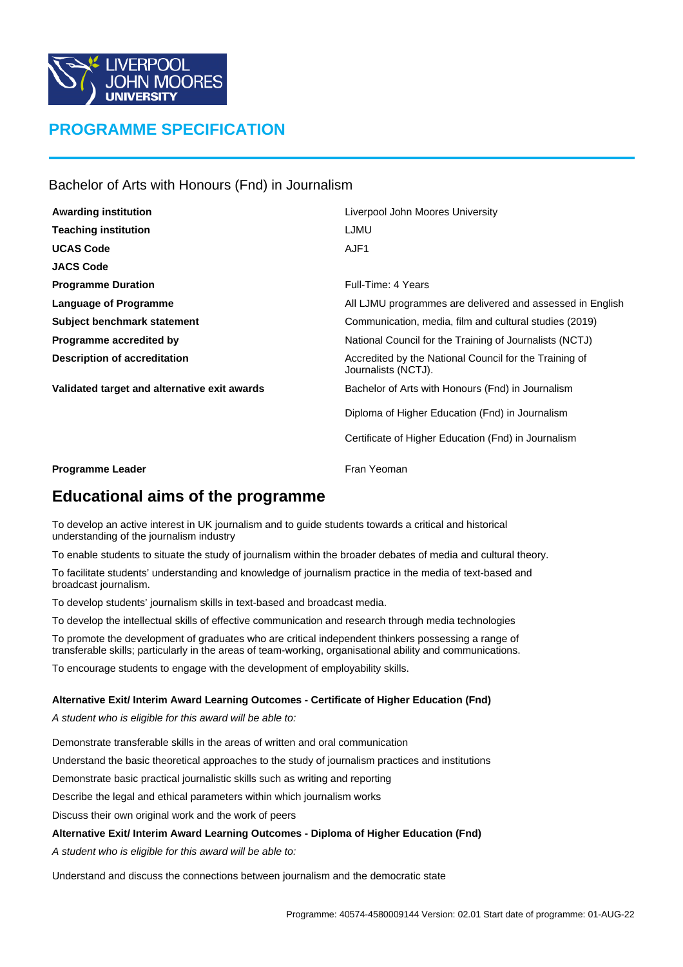

# **PROGRAMME SPECIFICATION**

Bachelor of Arts with Honours (Fnd) in Journalism

| <b>Awarding institution</b>                  | Liverpool John Moores University                                              |  |
|----------------------------------------------|-------------------------------------------------------------------------------|--|
| <b>Teaching institution</b>                  | LJMU                                                                          |  |
| <b>UCAS Code</b>                             | AJF1                                                                          |  |
| <b>JACS Code</b>                             |                                                                               |  |
| <b>Programme Duration</b>                    | Full-Time: 4 Years                                                            |  |
| Language of Programme                        | All LJMU programmes are delivered and assessed in English                     |  |
| Subject benchmark statement                  | Communication, media, film and cultural studies (2019)                        |  |
| Programme accredited by                      | National Council for the Training of Journalists (NCTJ)                       |  |
| <b>Description of accreditation</b>          | Accredited by the National Council for the Training of<br>Journalists (NCTJ). |  |
| Validated target and alternative exit awards | Bachelor of Arts with Honours (Fnd) in Journalism                             |  |
|                                              | Diploma of Higher Education (Fnd) in Journalism                               |  |
|                                              | Certificate of Higher Education (Fnd) in Journalism                           |  |
|                                              |                                                                               |  |

**Programme Leader Fran Yeoman** 

# **Educational aims of the programme**

To develop an active interest in UK journalism and to guide students towards a critical and historical understanding of the journalism industry

To enable students to situate the study of journalism within the broader debates of media and cultural theory.

To facilitate students' understanding and knowledge of journalism practice in the media of text-based and broadcast journalism.

To develop students' journalism skills in text-based and broadcast media.

To develop the intellectual skills of effective communication and research through media technologies

To promote the development of graduates who are critical independent thinkers possessing a range of transferable skills; particularly in the areas of team-working, organisational ability and communications.

To encourage students to engage with the development of employability skills.

#### **Alternative Exit/ Interim Award Learning Outcomes - Certificate of Higher Education (Fnd)**

A student who is eligible for this award will be able to:

Demonstrate transferable skills in the areas of written and oral communication

Understand the basic theoretical approaches to the study of journalism practices and institutions

Demonstrate basic practical journalistic skills such as writing and reporting

Describe the legal and ethical parameters within which journalism works

Discuss their own original work and the work of peers

#### **Alternative Exit/ Interim Award Learning Outcomes - Diploma of Higher Education (Fnd)**

A student who is eligible for this award will be able to:

Understand and discuss the connections between journalism and the democratic state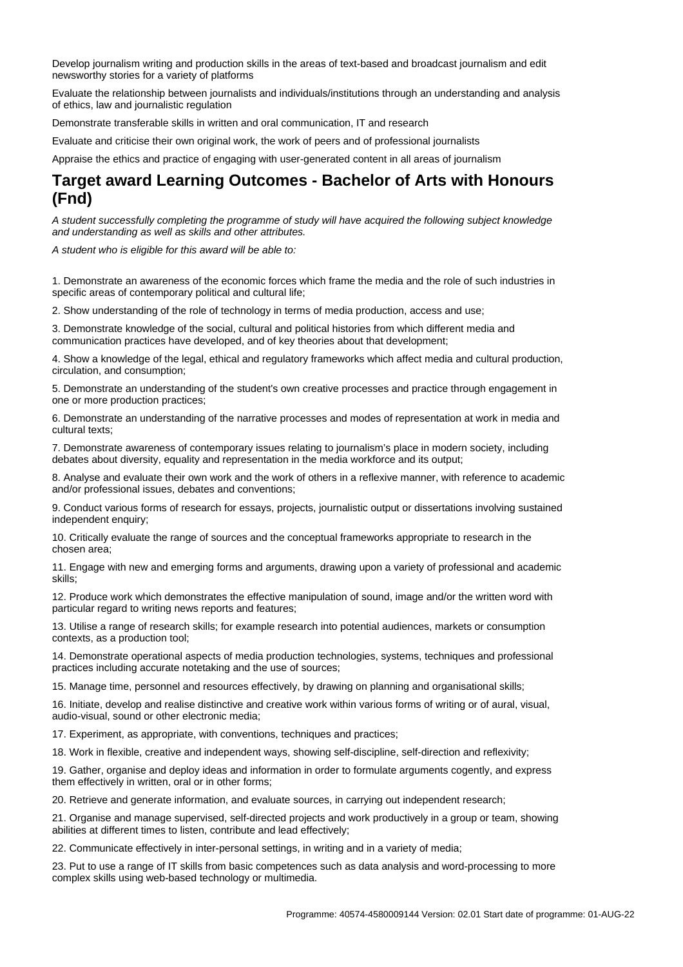Develop journalism writing and production skills in the areas of text-based and broadcast journalism and edit newsworthy stories for a variety of platforms

Evaluate the relationship between journalists and individuals/institutions through an understanding and analysis of ethics, law and journalistic regulation

Demonstrate transferable skills in written and oral communication, IT and research

Evaluate and criticise their own original work, the work of peers and of professional journalists

Appraise the ethics and practice of engaging with user-generated content in all areas of journalism

## **Target award Learning Outcomes - Bachelor of Arts with Honours (Fnd)**

A student successfully completing the programme of study will have acquired the following subject knowledge and understanding as well as skills and other attributes.

A student who is eligible for this award will be able to:

1. Demonstrate an awareness of the economic forces which frame the media and the role of such industries in specific areas of contemporary political and cultural life;

2. Show understanding of the role of technology in terms of media production, access and use;

3. Demonstrate knowledge of the social, cultural and political histories from which different media and communication practices have developed, and of key theories about that development;

4. Show a knowledge of the legal, ethical and regulatory frameworks which affect media and cultural production, circulation, and consumption;

5. Demonstrate an understanding of the student's own creative processes and practice through engagement in one or more production practices;

6. Demonstrate an understanding of the narrative processes and modes of representation at work in media and cultural texts;

7. Demonstrate awareness of contemporary issues relating to journalism's place in modern society, including debates about diversity, equality and representation in the media workforce and its output;

8. Analyse and evaluate their own work and the work of others in a reflexive manner, with reference to academic and/or professional issues, debates and conventions;

9. Conduct various forms of research for essays, projects, journalistic output or dissertations involving sustained independent enquiry;

10. Critically evaluate the range of sources and the conceptual frameworks appropriate to research in the chosen area;

11. Engage with new and emerging forms and arguments, drawing upon a variety of professional and academic skills;

12. Produce work which demonstrates the effective manipulation of sound, image and/or the written word with particular regard to writing news reports and features;

13. Utilise a range of research skills; for example research into potential audiences, markets or consumption contexts, as a production tool;

14. Demonstrate operational aspects of media production technologies, systems, techniques and professional practices including accurate notetaking and the use of sources;

15. Manage time, personnel and resources effectively, by drawing on planning and organisational skills;

16. Initiate, develop and realise distinctive and creative work within various forms of writing or of aural, visual, audio-visual, sound or other electronic media;

17. Experiment, as appropriate, with conventions, techniques and practices;

18. Work in flexible, creative and independent ways, showing self-discipline, self-direction and reflexivity;

19. Gather, organise and deploy ideas and information in order to formulate arguments cogently, and express them effectively in written, oral or in other forms;

20. Retrieve and generate information, and evaluate sources, in carrying out independent research;

21. Organise and manage supervised, self-directed projects and work productively in a group or team, showing abilities at different times to listen, contribute and lead effectively;

22. Communicate effectively in inter-personal settings, in writing and in a variety of media;

23. Put to use a range of IT skills from basic competences such as data analysis and word-processing to more complex skills using web-based technology or multimedia.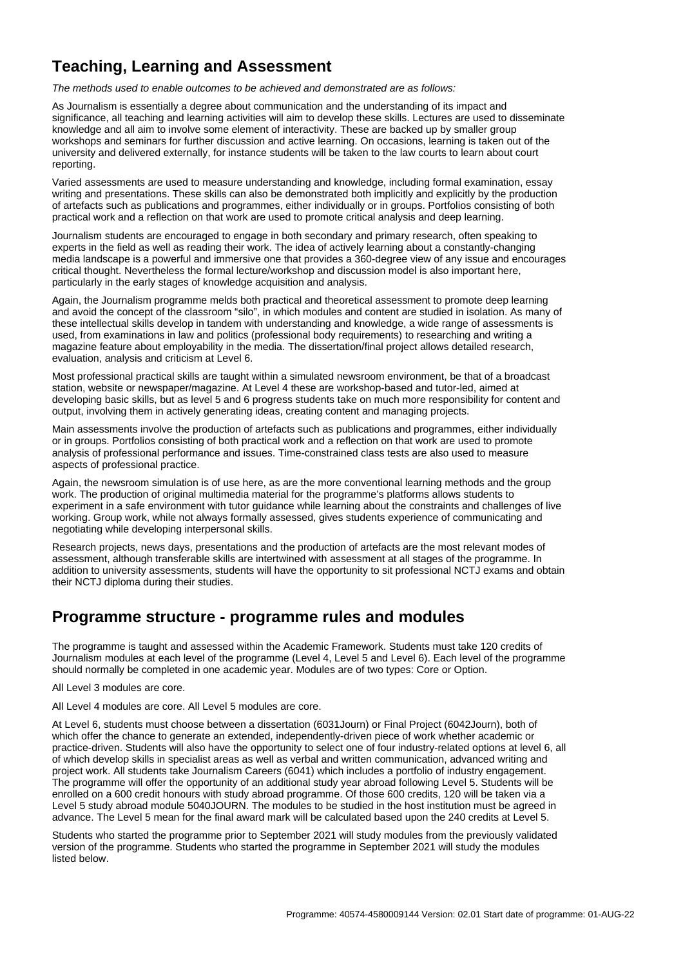# **Teaching, Learning and Assessment**

The methods used to enable outcomes to be achieved and demonstrated are as follows:

As Journalism is essentially a degree about communication and the understanding of its impact and significance, all teaching and learning activities will aim to develop these skills. Lectures are used to disseminate knowledge and all aim to involve some element of interactivity. These are backed up by smaller group workshops and seminars for further discussion and active learning. On occasions, learning is taken out of the university and delivered externally, for instance students will be taken to the law courts to learn about court reporting.

Varied assessments are used to measure understanding and knowledge, including formal examination, essay writing and presentations. These skills can also be demonstrated both implicitly and explicitly by the production of artefacts such as publications and programmes, either individually or in groups. Portfolios consisting of both practical work and a reflection on that work are used to promote critical analysis and deep learning.

Journalism students are encouraged to engage in both secondary and primary research, often speaking to experts in the field as well as reading their work. The idea of actively learning about a constantly-changing media landscape is a powerful and immersive one that provides a 360-degree view of any issue and encourages critical thought. Nevertheless the formal lecture/workshop and discussion model is also important here, particularly in the early stages of knowledge acquisition and analysis.

Again, the Journalism programme melds both practical and theoretical assessment to promote deep learning and avoid the concept of the classroom "silo", in which modules and content are studied in isolation. As many of these intellectual skills develop in tandem with understanding and knowledge, a wide range of assessments is used, from examinations in law and politics (professional body requirements) to researching and writing a magazine feature about employability in the media. The dissertation/final project allows detailed research, evaluation, analysis and criticism at Level 6.

Most professional practical skills are taught within a simulated newsroom environment, be that of a broadcast station, website or newspaper/magazine. At Level 4 these are workshop-based and tutor-led, aimed at developing basic skills, but as level 5 and 6 progress students take on much more responsibility for content and output, involving them in actively generating ideas, creating content and managing projects.

Main assessments involve the production of artefacts such as publications and programmes, either individually or in groups. Portfolios consisting of both practical work and a reflection on that work are used to promote analysis of professional performance and issues. Time-constrained class tests are also used to measure aspects of professional practice.

Again, the newsroom simulation is of use here, as are the more conventional learning methods and the group work. The production of original multimedia material for the programme's platforms allows students to experiment in a safe environment with tutor guidance while learning about the constraints and challenges of live working. Group work, while not always formally assessed, gives students experience of communicating and negotiating while developing interpersonal skills.

Research projects, news days, presentations and the production of artefacts are the most relevant modes of assessment, although transferable skills are intertwined with assessment at all stages of the programme. In addition to university assessments, students will have the opportunity to sit professional NCTJ exams and obtain their NCTJ diploma during their studies.

### **Programme structure - programme rules and modules**

The programme is taught and assessed within the Academic Framework. Students must take 120 credits of Journalism modules at each level of the programme (Level 4, Level 5 and Level 6). Each level of the programme should normally be completed in one academic year. Modules are of two types: Core or Option.

All Level 3 modules are core.

All Level 4 modules are core. All Level 5 modules are core.

At Level 6, students must choose between a dissertation (6031Journ) or Final Project (6042Journ), both of which offer the chance to generate an extended, independently-driven piece of work whether academic or practice-driven. Students will also have the opportunity to select one of four industry-related options at level 6, all of which develop skills in specialist areas as well as verbal and written communication, advanced writing and project work. All students take Journalism Careers (6041) which includes a portfolio of industry engagement. The programme will offer the opportunity of an additional study year abroad following Level 5. Students will be enrolled on a 600 credit honours with study abroad programme. Of those 600 credits, 120 will be taken via a Level 5 study abroad module 5040JOURN. The modules to be studied in the host institution must be agreed in advance. The Level 5 mean for the final award mark will be calculated based upon the 240 credits at Level 5.

Students who started the programme prior to September 2021 will study modules from the previously validated version of the programme. Students who started the programme in September 2021 will study the modules listed below.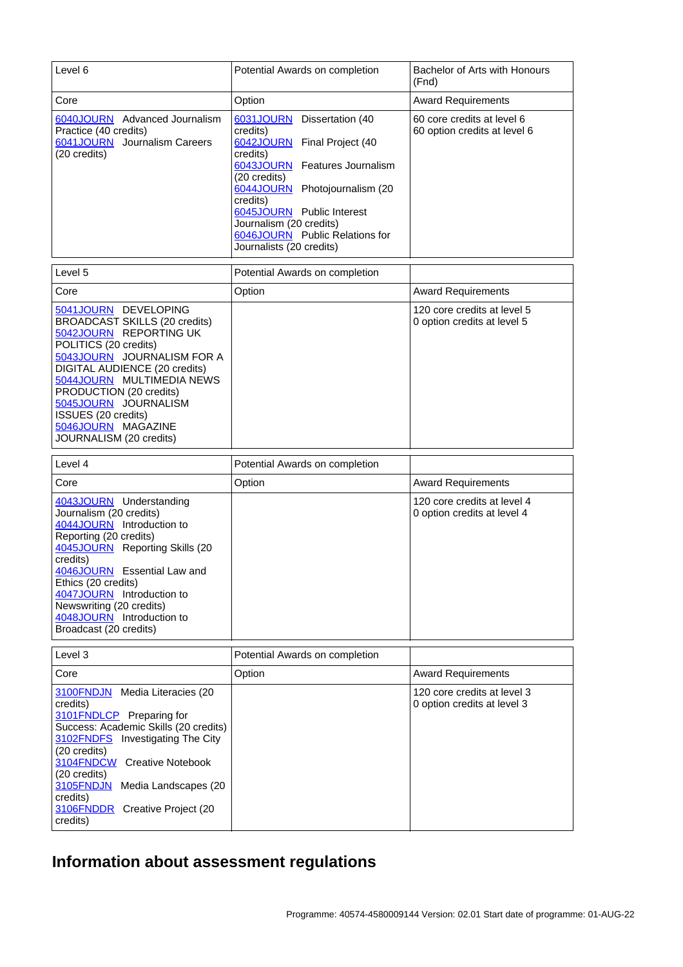| Level 6                                                                                                                                                                                                                                                                                                                                       | Potential Awards on completion                                                                                                                                                                                                                                                                        | Bachelor of Arts with Honours<br>(Fnd)                     |
|-----------------------------------------------------------------------------------------------------------------------------------------------------------------------------------------------------------------------------------------------------------------------------------------------------------------------------------------------|-------------------------------------------------------------------------------------------------------------------------------------------------------------------------------------------------------------------------------------------------------------------------------------------------------|------------------------------------------------------------|
| Core                                                                                                                                                                                                                                                                                                                                          | Option                                                                                                                                                                                                                                                                                                | <b>Award Requirements</b>                                  |
| 6040JOURN Advanced Journalism<br>Practice (40 credits)<br>6041JOURN Journalism Careers<br>(20 credits)                                                                                                                                                                                                                                        | 6031JOURN Dissertation (40<br>credits)<br>6042JOURN Final Project (40<br>credits)<br>6043JOURN Features Journalism<br>(20 credits)<br>6044JOURN Photojournalism (20<br>credits)<br>6045JOURN Public Interest<br>Journalism (20 credits)<br>6046JOURN Public Relations for<br>Journalists (20 credits) | 60 core credits at level 6<br>60 option credits at level 6 |
| Level 5                                                                                                                                                                                                                                                                                                                                       | Potential Awards on completion                                                                                                                                                                                                                                                                        |                                                            |
| Core                                                                                                                                                                                                                                                                                                                                          | Option                                                                                                                                                                                                                                                                                                | <b>Award Requirements</b>                                  |
| 5041JOURN DEVELOPING<br><b>BROADCAST SKILLS (20 credits)</b><br>5042JOURN REPORTING UK<br>POLITICS (20 credits)<br>5043JOURN JOURNALISM FOR A<br><b>DIGITAL AUDIENCE (20 credits)</b><br>5044JOURN MULTIMEDIA NEWS<br>PRODUCTION (20 credits)<br>5045JOURN JOURNALISM<br>ISSUES (20 credits)<br>5046JOURN MAGAZINE<br>JOURNALISM (20 credits) |                                                                                                                                                                                                                                                                                                       | 120 core credits at level 5<br>0 option credits at level 5 |
| Level 4                                                                                                                                                                                                                                                                                                                                       | Potential Awards on completion                                                                                                                                                                                                                                                                        |                                                            |
| Core                                                                                                                                                                                                                                                                                                                                          | Option                                                                                                                                                                                                                                                                                                | <b>Award Requirements</b>                                  |
| 4043JOURN Understanding<br>Journalism (20 credits)<br>4044JOURN Introduction to<br>Reporting (20 credits)<br>4045JOURN Reporting Skills (20<br>credits)<br>4046JOURN Essential Law and<br>Ethics (20 credits)<br>4047JOURN Introduction to<br>Newswriting (20 credits)<br>4048JOURN Introduction to<br>Broadcast (20 credits)                 |                                                                                                                                                                                                                                                                                                       | 120 core credits at level 4<br>0 option credits at level 4 |
| Level 3                                                                                                                                                                                                                                                                                                                                       | Potential Awards on completion                                                                                                                                                                                                                                                                        |                                                            |
| Core                                                                                                                                                                                                                                                                                                                                          | Option                                                                                                                                                                                                                                                                                                | <b>Award Requirements</b>                                  |
| 3100FNDJN Media Literacies (20<br>credits)<br>3101 FNDLCP Preparing for<br>Success: Academic Skills (20 credits)<br>3102FNDFS Investigating The City<br>(20 credits)<br>3104FNDCW Creative Notebook<br>(20 credits)<br>3105FNDJN Media Landscapes (20<br>credits)<br>3106FNDDR Creative Project (20<br>credits)                               |                                                                                                                                                                                                                                                                                                       | 120 core credits at level 3<br>0 option credits at level 3 |

# **Information about assessment regulations**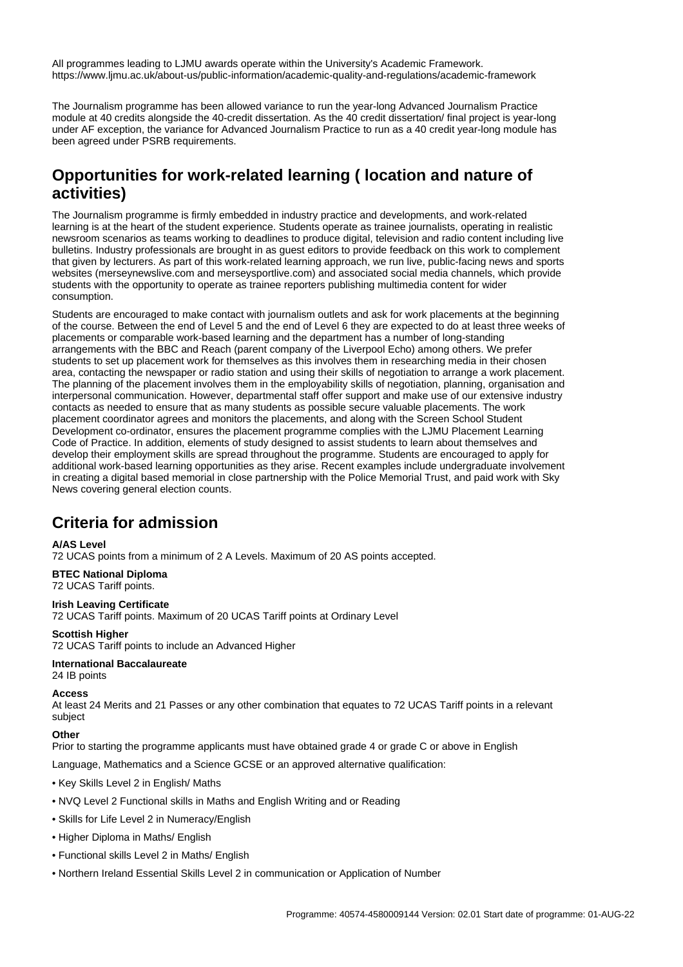All programmes leading to LJMU awards operate within the University's Academic Framework. https://www.ljmu.ac.uk/about-us/public-information/academic-quality-and-regulations/academic-framework

The Journalism programme has been allowed variance to run the year-long Advanced Journalism Practice module at 40 credits alongside the 40-credit dissertation. As the 40 credit dissertation/ final project is year-long under AF exception, the variance for Advanced Journalism Practice to run as a 40 credit year-long module has been agreed under PSRB requirements.

# **Opportunities for work-related learning ( location and nature of activities)**

The Journalism programme is firmly embedded in industry practice and developments, and work-related learning is at the heart of the student experience. Students operate as trainee journalists, operating in realistic newsroom scenarios as teams working to deadlines to produce digital, television and radio content including live bulletins. Industry professionals are brought in as guest editors to provide feedback on this work to complement that given by lecturers. As part of this work-related learning approach, we run live, public-facing news and sports websites (merseynewslive.com and merseysportlive.com) and associated social media channels, which provide students with the opportunity to operate as trainee reporters publishing multimedia content for wider consumption.

Students are encouraged to make contact with journalism outlets and ask for work placements at the beginning of the course. Between the end of Level 5 and the end of Level 6 they are expected to do at least three weeks of placements or comparable work-based learning and the department has a number of long-standing arrangements with the BBC and Reach (parent company of the Liverpool Echo) among others. We prefer students to set up placement work for themselves as this involves them in researching media in their chosen area, contacting the newspaper or radio station and using their skills of negotiation to arrange a work placement. The planning of the placement involves them in the employability skills of negotiation, planning, organisation and interpersonal communication. However, departmental staff offer support and make use of our extensive industry contacts as needed to ensure that as many students as possible secure valuable placements. The work placement coordinator agrees and monitors the placements, and along with the Screen School Student Development co-ordinator, ensures the placement programme complies with the LJMU Placement Learning Code of Practice. In addition, elements of study designed to assist students to learn about themselves and develop their employment skills are spread throughout the programme. Students are encouraged to apply for additional work-based learning opportunities as they arise. Recent examples include undergraduate involvement in creating a digital based memorial in close partnership with the Police Memorial Trust, and paid work with Sky News covering general election counts.

# **Criteria for admission**

#### **A/AS Level**

72 UCAS points from a minimum of 2 A Levels. Maximum of 20 AS points accepted.

### **BTEC National Diploma**

72 UCAS Tariff points.

**Irish Leaving Certificate** 72 UCAS Tariff points. Maximum of 20 UCAS Tariff points at Ordinary Level

#### **Scottish Higher**

72 UCAS Tariff points to include an Advanced Higher

#### **International Baccalaureate**

24 IB points

#### **Access**

At least 24 Merits and 21 Passes or any other combination that equates to 72 UCAS Tariff points in a relevant subject

#### **Other**

Prior to starting the programme applicants must have obtained grade 4 or grade C or above in English

Language, Mathematics and a Science GCSE or an approved alternative qualification:

- Key Skills Level 2 in English/ Maths
- NVQ Level 2 Functional skills in Maths and English Writing and or Reading
- Skills for Life Level 2 in Numeracy/English
- Higher Diploma in Maths/ English
- Functional skills Level 2 in Maths/ English
- Northern Ireland Essential Skills Level 2 in communication or Application of Number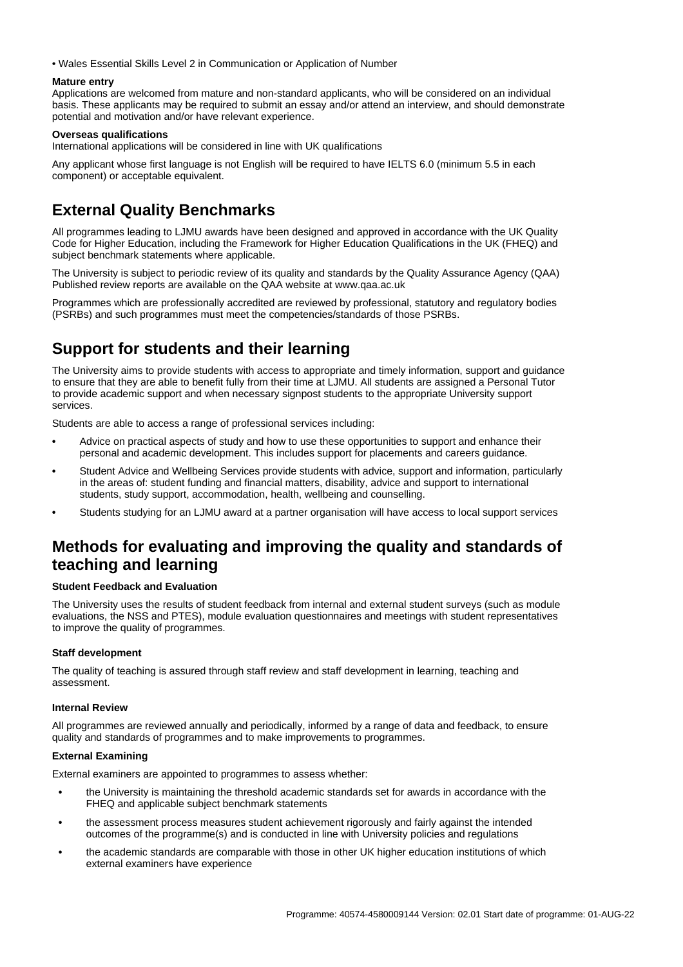• Wales Essential Skills Level 2 in Communication or Application of Number

#### **Mature entry**

Applications are welcomed from mature and non-standard applicants, who will be considered on an individual basis. These applicants may be required to submit an essay and/or attend an interview, and should demonstrate potential and motivation and/or have relevant experience.

#### **Overseas qualifications**

International applications will be considered in line with UK qualifications

Any applicant whose first language is not English will be required to have IELTS 6.0 (minimum 5.5 in each component) or acceptable equivalent.

# **External Quality Benchmarks**

All programmes leading to LJMU awards have been designed and approved in accordance with the UK Quality Code for Higher Education, including the Framework for Higher Education Qualifications in the UK (FHEQ) and subject benchmark statements where applicable.

The University is subject to periodic review of its quality and standards by the Quality Assurance Agency (QAA) Published review reports are available on the QAA website at www.qaa.ac.uk

Programmes which are professionally accredited are reviewed by professional, statutory and regulatory bodies (PSRBs) and such programmes must meet the competencies/standards of those PSRBs.

# **Support for students and their learning**

The University aims to provide students with access to appropriate and timely information, support and guidance to ensure that they are able to benefit fully from their time at LJMU. All students are assigned a Personal Tutor to provide academic support and when necessary signpost students to the appropriate University support services.

Students are able to access a range of professional services including:

- **•** Advice on practical aspects of study and how to use these opportunities to support and enhance their personal and academic development. This includes support for placements and careers guidance.
- **•** Student Advice and Wellbeing Services provide students with advice, support and information, particularly in the areas of: student funding and financial matters, disability, advice and support to international students, study support, accommodation, health, wellbeing and counselling.
- **•** Students studying for an LJMU award at a partner organisation will have access to local support services

## **Methods for evaluating and improving the quality and standards of teaching and learning**

#### **Student Feedback and Evaluation**

The University uses the results of student feedback from internal and external student surveys (such as module evaluations, the NSS and PTES), module evaluation questionnaires and meetings with student representatives to improve the quality of programmes.

#### **Staff development**

The quality of teaching is assured through staff review and staff development in learning, teaching and assessment.

#### **Internal Review**

All programmes are reviewed annually and periodically, informed by a range of data and feedback, to ensure quality and standards of programmes and to make improvements to programmes.

#### **External Examining**

External examiners are appointed to programmes to assess whether:

- **•** the University is maintaining the threshold academic standards set for awards in accordance with the FHEQ and applicable subject benchmark statements
- **•** the assessment process measures student achievement rigorously and fairly against the intended outcomes of the programme(s) and is conducted in line with University policies and regulations
- **•** the academic standards are comparable with those in other UK higher education institutions of which external examiners have experience